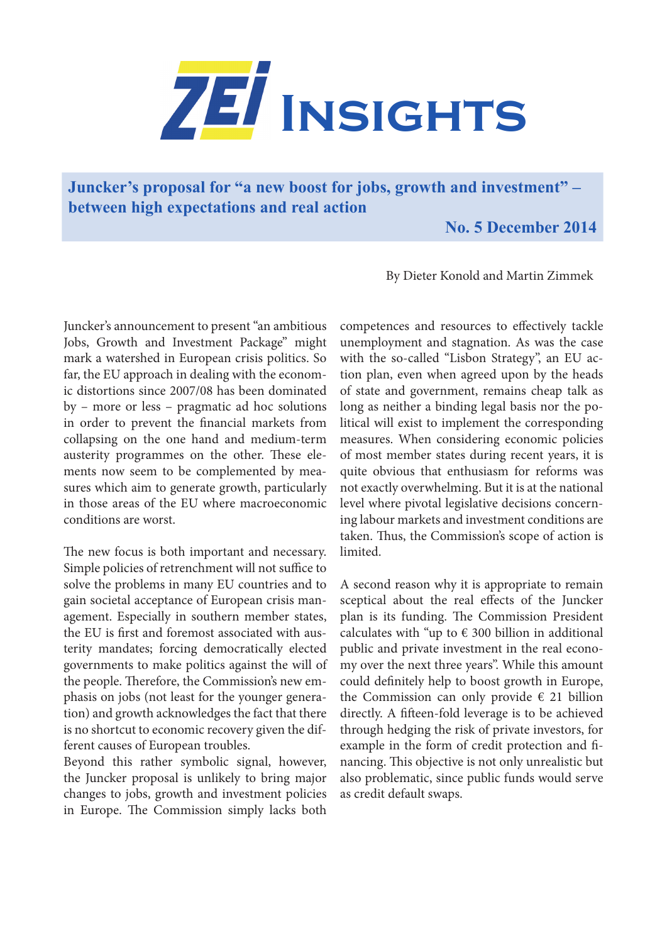

**Juncker's proposal for "a new boost for jobs, growth and investment" – between high expectations and real action**

 **No. 5 December 2014**

By Dieter Konold and Martin Zimmek

Juncker's announcement to present "an ambitious Jobs, Growth and Investment Package" might mark a watershed in European crisis politics. So far, the EU approach in dealing with the economic distortions since 2007/08 has been dominated by – more or less – pragmatic ad hoc solutions in order to prevent the financial markets from collapsing on the one hand and medium-term austerity programmes on the other. These elements now seem to be complemented by measures which aim to generate growth, particularly in those areas of the EU where macroeconomic conditions are worst.

The new focus is both important and necessary. Simple policies of retrenchment will not suffice to solve the problems in many EU countries and to gain societal acceptance of European crisis management. Especially in southern member states, the EU is first and foremost associated with austerity mandates; forcing democratically elected governments to make politics against the will of the people. Therefore, the Commission's new emphasis on jobs (not least for the younger generation) and growth acknowledges the fact that there is no shortcut to economic recovery given the different causes of European troubles.

Beyond this rather symbolic signal, however, the Juncker proposal is unlikely to bring major changes to jobs, growth and investment policies in Europe. The Commission simply lacks both

competences and resources to effectively tackle unemployment and stagnation. As was the case with the so-called "Lisbon Strategy", an EU action plan, even when agreed upon by the heads of state and government, remains cheap talk as long as neither a binding legal basis nor the political will exist to implement the corresponding measures. When considering economic policies of most member states during recent years, it is quite obvious that enthusiasm for reforms was not exactly overwhelming. But it is at the national level where pivotal legislative decisions concerning labour markets and investment conditions are taken. Thus, the Commission's scope of action is limited.

A second reason why it is appropriate to remain sceptical about the real effects of the Juncker plan is its funding. The Commission President calculates with "up to  $\epsilon$  300 billion in additional public and private investment in the real economy over the next three years". While this amount could definitely help to boost growth in Europe, the Commission can only provide  $\epsilon$  21 billion directly. A fifteen-fold leverage is to be achieved through hedging the risk of private investors, for example in the form of credit protection and financing. This objective is not only unrealistic but also problematic, since public funds would serve as credit default swaps.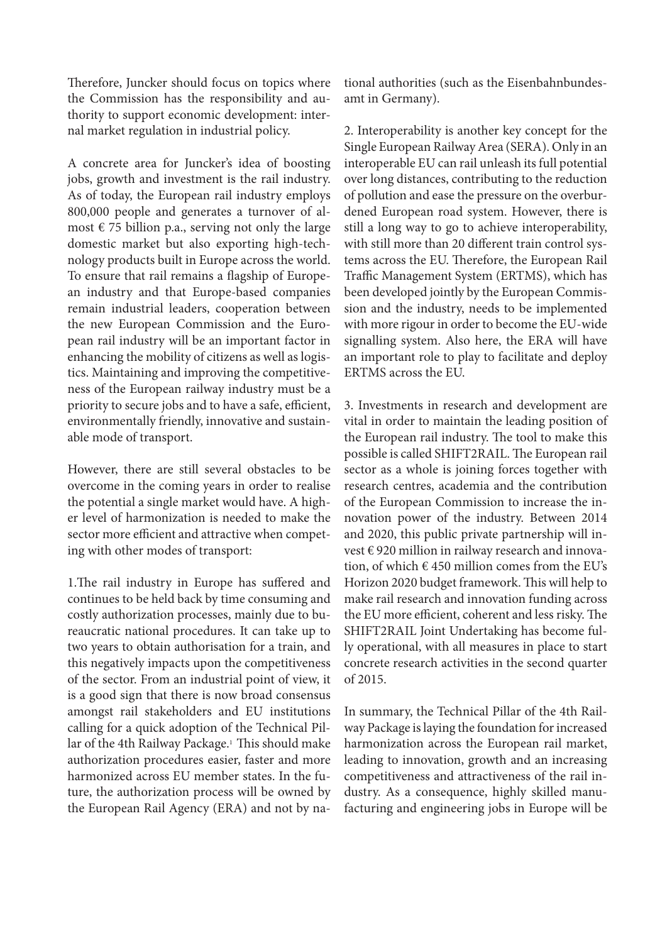Therefore, Juncker should focus on topics where the Commission has the responsibility and authority to support economic development: internal market regulation in industrial policy.

A concrete area for Juncker's idea of boosting jobs, growth and investment is the rail industry. As of today, the European rail industry employs 800,000 people and generates a turnover of almost  $\epsilon$  75 billion p.a., serving not only the large domestic market but also exporting high-technology products built in Europe across the world. To ensure that rail remains a flagship of European industry and that Europe-based companies remain industrial leaders, cooperation between the new European Commission and the European rail industry will be an important factor in enhancing the mobility of citizens as well as logistics. Maintaining and improving the competitiveness of the European railway industry must be a priority to secure jobs and to have a safe, efficient, environmentally friendly, innovative and sustainable mode of transport.

However, there are still several obstacles to be overcome in the coming years in order to realise the potential a single market would have. A higher level of harmonization is needed to make the sector more efficient and attractive when competing with other modes of transport:

1.The rail industry in Europe has suffered and continues to be held back by time consuming and costly authorization processes, mainly due to bureaucratic national procedures. It can take up to two years to obtain authorisation for a train, and this negatively impacts upon the competitiveness of the sector. From an industrial point of view, it is a good sign that there is now broad consensus amongst rail stakeholders and EU institutions calling for a quick adoption of the Technical Pillar of the 4th Railway Package.<sup>1</sup> This should make authorization procedures easier, faster and more harmonized across EU member states. In the future, the authorization process will be owned by the European Rail Agency (ERA) and not by national authorities (such as the Eisenbahnbundesamt in Germany).

2. Interoperability is another key concept for the Single European Railway Area (SERA). Only in an interoperable EU can rail unleash its full potential over long distances, contributing to the reduction of pollution and ease the pressure on the overburdened European road system. However, there is still a long way to go to achieve interoperability, with still more than 20 different train control systems across the EU. Therefore, the European Rail Traffic Management System (ERTMS), which has been developed jointly by the European Commission and the industry, needs to be implemented with more rigour in order to become the EU-wide signalling system. Also here, the ERA will have an important role to play to facilitate and deploy ERTMS across the EU.

3. Investments in research and development are vital in order to maintain the leading position of the European rail industry. The tool to make this possible is called SHIFT2RAIL. The European rail sector as a whole is joining forces together with research centres, academia and the contribution of the European Commission to increase the innovation power of the industry. Between 2014 and 2020, this public private partnership will invest € 920 million in railway research and innovation, of which  $\epsilon$  450 million comes from the EU's Horizon 2020 budget framework. This will help to make rail research and innovation funding across the EU more efficient, coherent and less risky. The SHIFT2RAIL Joint Undertaking has become fully operational, with all measures in place to start concrete research activities in the second quarter of 2015.

In summary, the Technical Pillar of the 4th Railway Package is laying the foundation for increased harmonization across the European rail market, leading to innovation, growth and an increasing competitiveness and attractiveness of the rail industry. As a consequence, highly skilled manufacturing and engineering jobs in Europe will be